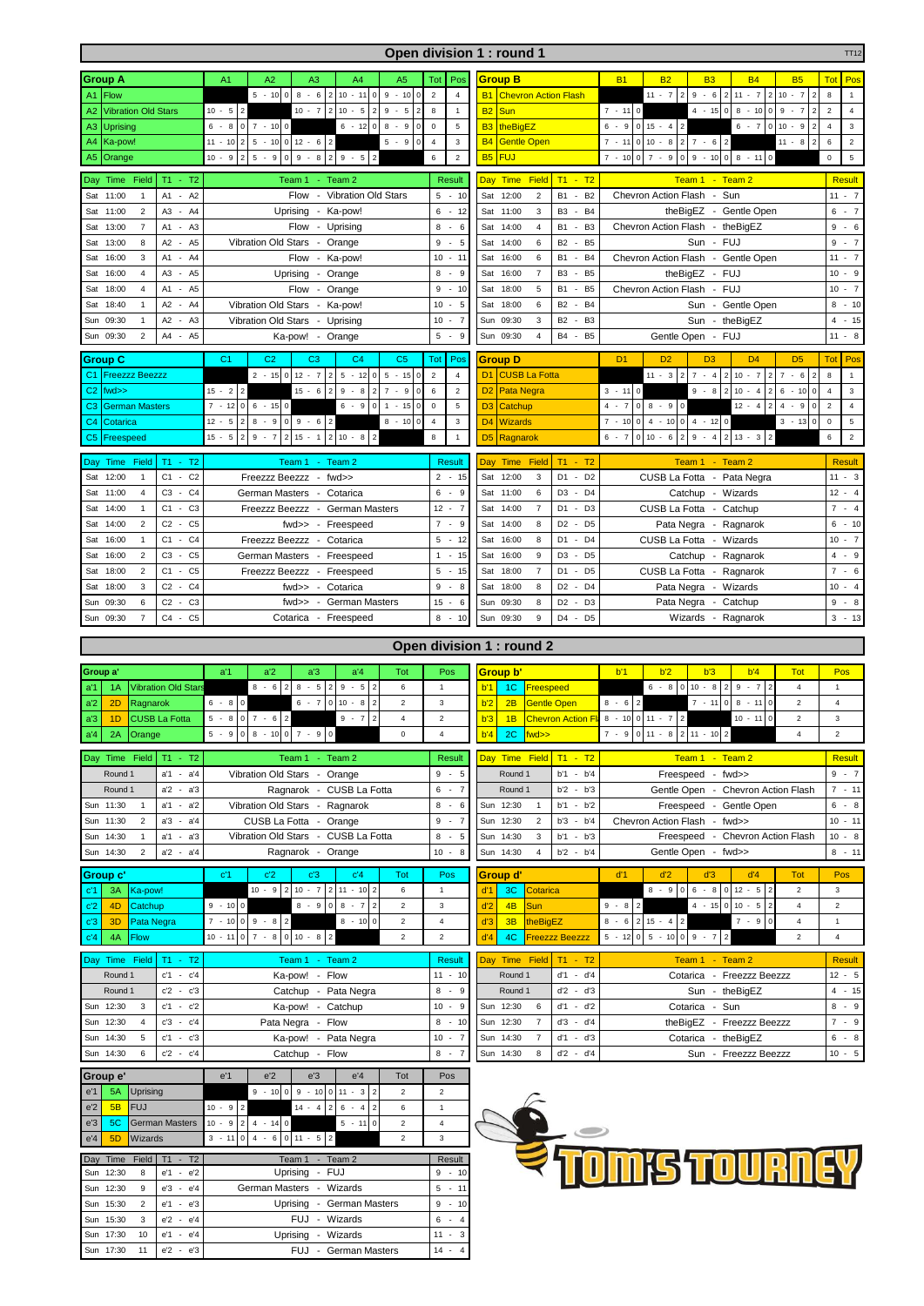|                                                                                                                           | Open division 1 : round 1<br><b>TT12</b>                     |                                                                                                       |                                  |                                                                    |                                                                                                               |                                                 |  |
|---------------------------------------------------------------------------------------------------------------------------|--------------------------------------------------------------|-------------------------------------------------------------------------------------------------------|----------------------------------|--------------------------------------------------------------------|---------------------------------------------------------------------------------------------------------------|-------------------------------------------------|--|
| <b>Group A</b>                                                                                                            |                                                              | A2<br>A <sub>1</sub><br>A3<br>A4<br>A <sub>5</sub>                                                    | Pos<br>Tot                       | <b>Group B</b>                                                     | <b>B1</b><br><b>B2</b><br><b>B3</b><br><b>B4</b><br><b>B5</b>                                                 | <b>Tot</b><br>Pos                               |  |
| Flow<br>A <sub>1</sub>                                                                                                    |                                                              | $5 - 10$<br>$\mathbf 0$<br>$8 - 6$<br>$2 10 - 11 0$<br>$9 - 100$                                      | $\overline{2}$<br>$\overline{4}$ | <b>Chevron Action Flash</b><br><b>B1</b>                           | $9 - 6$   2   11 - 7<br>$\overline{2}$<br>$11 - 7$   2<br>$10 - 7$                                            | 8<br>$\overline{2}$<br>$\overline{1}$           |  |
| <b>Vibration Old Stars</b><br>A2                                                                                          |                                                              | $10 - 5$<br>$10 - 5$<br>$\sqrt{2}$<br>$10 - 7$<br>$\overline{2}$<br>$9 - 5$                           | 8<br>$\mathbf{1}$                | Sun<br><b>B2</b>                                                   | $7 - 110$<br>$8 - 10$<br>$4 - 15$<br>$\pmb{0}$<br>9<br>0<br>$-7$                                              | $\overline{2}$<br>$\overline{4}$                |  |
| <b>Uprising</b><br>A <sub>3</sub>                                                                                         |                                                              | $6 - 8$<br>$\circ$<br>$7 - 1000$<br>$8 - 9$<br>$6 - 120$<br>$\Omega$                                  | $\mathsf 0$<br>5                 | theBigEZ<br><b>B3</b>                                              | $6 - 7$<br>$6 - 9$<br>$\overline{0}$<br>$15 - 4$ 2<br>$\pmb{0}$<br>$10 - 9$                                   | $\overline{4}$<br>$\mathbf 3$<br>$\overline{2}$ |  |
| Ka-pow!                                                                                                                   |                                                              | $012 - 6$<br>$\overline{a}$<br>$5 - 10$<br>$5 - 9$<br>$11 - 10$<br>$\overline{2}$<br>$\mathbf 0$      | $\overline{4}$<br>3              | <b>B4</b><br><b>Gentle Open</b>                                    | $7 - 11$<br>$\overline{0}$<br>$10 - 8$<br>$7 - 6$ 2<br>$11 - 8$<br> 2                                         | $\overline{2}$<br>6<br>$\overline{2}$           |  |
| A4<br>Orange                                                                                                              |                                                              | $5 - 9$<br>$10 - 9$<br>$9 - 8$<br>$2 \ 9 - 5$<br>$\overline{2}$<br>$\mathsf 0$<br>$\overline{2}$      | $\overline{2}$<br>6              | <b>B5</b><br><b>FUJ</b>                                            | $7 - 10$<br>$7 - 9$<br>$8 - 11$<br>$\overline{0}$<br>$9 - 100$<br>$\pmb{0}$                                   | $\overline{5}$<br>$\mathsf 0$                   |  |
| A5                                                                                                                        |                                                              |                                                                                                       |                                  |                                                                    |                                                                                                               |                                                 |  |
| Time<br>Field<br>Day                                                                                                      | $T1 - T2$                                                    | Team 1<br>$-$ Team 2                                                                                  | <b>Result</b>                    | $T1 - T2$<br><b>Time</b><br>Field<br>Day                           | Team 1 - Team 2                                                                                               | <b>Result</b>                                   |  |
| 11:00<br>$\mathbf{1}$<br>Sat                                                                                              | $-A2$<br>A1                                                  | Flow - Vibration Old Stars                                                                            | $5 - 10$                         | 12:00<br><b>B1</b><br>$\overline{2}$<br>Sat<br>$\sim$              | B <sub>2</sub><br>Chevron Action Flash - Sun                                                                  | $11 - 7$                                        |  |
| $\overline{2}$<br>Sat<br>11:00                                                                                            | A <sub>3</sub><br>A4<br>$\sim$                               | Uprising - Ka-pow!                                                                                    | 6<br>$-12$                       | Sat 11:00<br>3<br>B <sub>3</sub><br>$\sim$                         | <b>B4</b><br>theBigEZ - Gentle Open                                                                           | 6<br>$-7$                                       |  |
| Sat<br>13:00<br>$\overline{7}$                                                                                            | A <sub>1</sub><br>A3<br>$\overline{\phantom{a}}$             | Flow<br>- Uprising                                                                                    | 8<br>$-6$                        | Sat 14:00<br><b>B1</b><br>4<br>$\overline{\phantom{a}}$            | B <sub>3</sub><br>Chevron Action Flash<br>- theBigEZ                                                          | 9<br>$\sim$<br>6                                |  |
| 13:00<br>8<br>Sat                                                                                                         | A2<br>A <sub>5</sub><br>$\sim$                               | Vibration Old Stars -<br>Orange                                                                       | 9<br>$-5$                        | 14:00<br>6<br>B <sub>2</sub><br>Sat<br>$\sim$                      | B <sub>5</sub><br>Sun - FUJ                                                                                   | $9 - 7$                                         |  |
| Sat<br>16:00<br>3                                                                                                         | A1<br>- A4                                                   | Flow - Ka-pow!                                                                                        | 10<br>$-11$                      | 16:00<br><b>B1</b><br>Sat<br>6<br>$\sim$                           | B <sub>4</sub><br>Chevron Action Flash<br>- Gentle Open                                                       | 11<br>$-7$                                      |  |
| Sat<br>16:00<br>$\overline{4}$                                                                                            | A <sub>3</sub><br>A <sub>5</sub><br>÷,                       | Uprising<br>Orange<br>$\overline{\phantom{a}}$                                                        | 8<br>$-9$                        | $\overline{7}$<br>B <sub>3</sub><br>Sat<br>16:00<br>$\blacksquare$ | - FUJ<br>B <sub>5</sub><br>theBigEZ                                                                           | 10<br>$\sim$<br>9                               |  |
| 18:00<br>$\overline{4}$<br>Sat                                                                                            | A1<br>A <sub>5</sub><br>$\sim$                               | Flow - Orange                                                                                         | $-10$<br>9                       | 18:00<br>5<br><b>B1</b><br>Sat                                     | - FUJ<br>- B5<br>Chevron Action Flash                                                                         | $10 - 7$                                        |  |
| 18:40<br>$\mathbf{1}$<br>Sat                                                                                              | A <sub>2</sub><br>A <sub>4</sub><br>$\sim$                   | Vibration Old Stars - Ka-pow!                                                                         | 5<br>10<br>$\sim$                | Sat<br>18:00<br>6<br><b>B2</b><br>$\overline{\phantom{a}}$         | <b>B4</b><br>Sun - Gentle Open                                                                                | 8<br>$-10$                                      |  |
| Sun<br>09:30<br>$\mathbf{1}$                                                                                              | A <sub>2</sub><br>A <sub>3</sub>                             | Vibration Old Stars<br>- Uprising                                                                     | $-7$<br>10                       | Sun<br>09:30<br>3<br><b>B2</b><br>$\sim$                           | B <sub>3</sub><br>Sun<br>- theBigEZ                                                                           | $-15$<br>4                                      |  |
| $\overline{2}$                                                                                                            | A4<br>A <sub>5</sub><br>$\sim$                               |                                                                                                       | 5<br>$-9$                        | Sun<br>$\overline{4}$<br><b>B4</b>                                 | - B5                                                                                                          | $11 - 8$                                        |  |
| Sun 09:30                                                                                                                 |                                                              | Ka-pow! - Orange                                                                                      |                                  | 09:30                                                              | Gentle Open - FUJ                                                                                             |                                                 |  |
| <b>Group C</b>                                                                                                            |                                                              | C <sub>2</sub><br>C <sub>3</sub><br>C <sub>4</sub><br>C <sub>5</sub><br>C <sub>1</sub>                | Tot<br>Pos                       | <b>Group D</b>                                                     | D <sub>2</sub><br>D <sub>3</sub><br>D <sub>4</sub><br>D <sub>5</sub><br>D <sub>1</sub>                        | Po:<br>Tot                                      |  |
| C <sub>1</sub><br><b>Freezzz Beezzz</b>                                                                                   |                                                              | $2 - 15$<br>$\mathbf 0$<br>$12 - 7$<br>$2 \ 5 \ -12 \ 0$<br>$5 - 15$<br>$\Omega$                      | $\overline{2}$<br>$\overline{4}$ | D <sub>1</sub><br><b>CUSB La Fotta</b>                             | $\overline{2}$<br>$11 - 3$   2<br>$7 - 4$ 2<br>$10 - 7$<br>$7 - 6$                                            | 8<br>2<br>$\overline{1}$                        |  |
| C <sub>2</sub><br>fwd>>                                                                                                   |                                                              | $15 - 2$<br>$\overline{2}$<br>$15 - 6$<br>$9 - 8$<br>$7 - 9$<br>$\overline{2}$<br>$\overline{2}$<br>0 | 6<br>$\sqrt{2}$                  | Pata Negra<br>D <sub>2</sub>                                       | $9 - 8$<br>$3 - 110$<br>$10 - 4$<br>$\sqrt{2}$<br>6<br>$-10$<br>l 2                                           | $\overline{4}$<br>3<br>0                        |  |
| C <sub>3</sub><br><b>German Masters</b>                                                                                   |                                                              | $7 - 12$<br>$6 - 150$<br>$\circ$<br>$\circ$<br>$6 - 9$<br>$1 - 15$<br>$\mathbf 0$                     | $\mathbf 5$<br>$\mathsf 0$       | Catchup<br>D <sub>3</sub>                                          | $\overline{a}$<br>$\overline{4}$<br>$-7$<br>$\overline{0}$<br>$8 - 90$<br>$12 - 4$<br>$\overline{4}$<br>$-9$  | $\overline{2}$<br>$\overline{4}$<br>$\mathbf 0$ |  |
| C <sub>4</sub><br>Cotarica                                                                                                |                                                              | $12 - 5$<br>$8 - 9$<br>$\mathbf 0$<br>$9 - 6$<br>$8 - 10$<br>$\overline{2}$<br>$\overline{2}$         | $\overline{4}$<br>$\mathbf{3}$   | D <sub>4</sub><br><b>Wizards</b>                                   | $7 - 1000$<br>$4 - 10$<br>$4 - 1200$<br>$3 - 13$<br>$\mathbf 0$                                               | $\,$ 5 $\,$<br>$\mathsf 0$                      |  |
| C5<br>Freespeed                                                                                                           |                                                              | $2 10 - 8$<br>$15 - 5$<br>$9 - 7$<br>$\sqrt{2}$<br>$15 - 1$<br>$\overline{2}$<br>2                    | 8<br>$\mathbf{1}$                | D <sub>5</sub><br>Ragnarok                                         | $13 - 3$<br>$6 - 7$<br>$10 - 6$<br>$9 - 4$<br>$\sqrt{2}$<br>$\overline{0}$<br>$\overline{2}$                  | $\overline{c}$<br>6                             |  |
|                                                                                                                           |                                                              |                                                                                                       |                                  |                                                                    |                                                                                                               |                                                 |  |
| Time<br>Field<br>Day                                                                                                      | $T1 - T2$                                                    | Team 2<br>Team 1<br>$\sim$                                                                            | <b>Result</b>                    | Field<br>$T1 - T2$<br>Time<br>Day                                  | Team 1 - Team 2                                                                                               | <b>Result</b>                                   |  |
| Sat<br>12:00<br>$\mathbf{1}$                                                                                              | C <sub>2</sub><br>$C1 -$                                     | Freezzz Beezzz - fwd>>                                                                                | $2 - 15$                         | Sat 12:00<br>$\mathbf{3}$<br>D <sub>1</sub>                        | $-D2$<br>CUSB La Fotta - Pata Negra                                                                           | $11 -$<br>3                                     |  |
| 11:00<br>$\overline{4}$<br>Sat                                                                                            | C <sub>3</sub><br>$-C4$                                      | German Masters -<br>Cotarica                                                                          | $-9$<br>6                        | Sat 11:00<br>6<br>D <sub>3</sub>                                   | $-D4$<br>Catchup - Wizards                                                                                    | $12 - 4$                                        |  |
| 14:00<br>$\mathbf{1}$<br>Sat                                                                                              | C <sub>3</sub><br>C <sub>1</sub><br>$\overline{\phantom{a}}$ | German Masters<br>Freezzz Beezzz<br>$\overline{\phantom{a}}$                                          | $12 - 7$                         | $\overline{7}$<br>Sat<br>D <sub>1</sub><br>14:00<br>$\cdot$        | CUSB La Fotta<br>D <sub>3</sub><br>- Catchup                                                                  | $7 -$<br>$\overline{4}$                         |  |
| $\overline{2}$<br>Sat<br>14:00                                                                                            | C <sub>5</sub><br>C <sub>2</sub><br>$\sim$                   | - Freespeed<br>fwd>>                                                                                  | $7 - 9$                          | Sat<br>14:00<br>8<br>D <sub>2</sub>                                | $-D5$<br>Pata Negra - Ragnarok                                                                                | $6 - 10$                                        |  |
| 16:00<br>Sat<br>$\mathbf{1}$                                                                                              | C <sub>1</sub><br>$-C4$                                      | Freezzz Beezzz - Cotarica                                                                             | 5<br>$-12$                       | 16:00<br>Sat<br>8<br>D <sub>1</sub>                                | $-D4$<br>CUSB La Fotta - Wizards                                                                              | 10<br>$-7$                                      |  |
| $\overline{2}$<br>16:00<br>Sat                                                                                            | C <sub>3</sub><br>C <sub>5</sub><br>$\overline{\phantom{a}}$ | German Masters - Freespeed                                                                            | $-15$<br>$\mathbf{1}$            | 9<br>D <sub>3</sub><br>Sat<br>16:00                                | D <sub>5</sub><br>Catchup - Ragnarok                                                                          | $\overline{4}$<br>9<br>$\sim$                   |  |
| 18:00<br>$\overline{2}$<br>Sat                                                                                            | C <sub>1</sub><br>C <sub>5</sub><br>$\sim$                   | Freezzz Beezzz<br>- Freespeed                                                                         | $-15$<br>5                       | Sat 18:00<br>$\overline{7}$<br>D1<br>$\sim$                        | - Ragnarok<br>D <sub>5</sub><br>CUSB La Fotta                                                                 | $7 -$<br>6                                      |  |
| 3<br>18:00<br>Sat                                                                                                         | $-C4$<br>C <sub>2</sub>                                      | fwd>> - Cotarica                                                                                      | 9<br>$-8$                        | 18:00<br>8<br>D <sub>2</sub><br>Sat                                | $-D4$<br>Pata Negra - Wizards                                                                                 | $10 - 4$                                        |  |
| 09:30<br>6<br>Sun                                                                                                         | C <sub>2</sub><br>C <sub>3</sub><br>$\sim$                   | $fwd \gg$<br>German Masters<br>$\sim$                                                                 | 15<br>6<br>$\sim$                | 09:30<br>D <sub>2</sub><br>Sun<br>8<br>$\overline{\phantom{a}}$    | D <sub>3</sub><br>Pata Negra - Catchup                                                                        | 9<br>$-8$                                       |  |
| $\overline{7}$                                                                                                            | C4<br>$\sim$                                                 |                                                                                                       | $8 - 10$                         | Sun 09:30<br>9<br>D4<br>$\sim$                                     | D <sub>5</sub>                                                                                                |                                                 |  |
| Sun 09:30                                                                                                                 | C <sub>5</sub>                                               | Cotarica - Freespeed                                                                                  |                                  |                                                                    | Wizards<br>- Ragnarok                                                                                         | $3 - 13$                                        |  |
|                                                                                                                           | Open division 1 : round 2                                    |                                                                                                       |                                  |                                                                    |                                                                                                               |                                                 |  |
|                                                                                                                           |                                                              |                                                                                                       |                                  |                                                                    |                                                                                                               |                                                 |  |
| a'1<br>a'4<br>Group a'<br>a <sup>2</sup><br>a'3<br><b>Tot</b>                                                             |                                                              | Pos                                                                                                   | Group b'                         | b'1<br>b'2<br>b'3<br>b'4<br><b>Tot</b>                             | Pos                                                                                                           |                                                 |  |
| <b>Vibration Old Stars</b><br>1A<br>a'1                                                                                   |                                                              | $8 - 6$<br>$\overline{2}$<br>$8 - 5$<br>$9 - 5$<br>6<br>$\overline{2}$                                | $\overline{1}$                   | 1C Freespeed<br>b'1                                                | $10 - 8$<br>$6 - 80$<br>$9 - 7$<br>$\boldsymbol{2}$<br>$\overline{4}$                                         | $\mathbf{1}$                                    |  |
| 2D<br>Ragnarok<br>a'2                                                                                                     |                                                              | $6 - 8$<br>$6 - 7$<br>$010 - 8$<br>l o<br>$\overline{2}$                                              | $\mathbf{3}$                     | b'2<br>2B<br><b>Gentle Open</b>                                    | $7 - 110$<br>$8 - 11$<br>$8 - 6$ 2<br>$\mathbf 0$<br>$\overline{2}$                                           | $\overline{4}$                                  |  |
| 1D<br><b>CUSB La Fotta</b><br>a'3                                                                                         |                                                              | $\circ$<br>$7 - 6$<br>$5 - 8$<br>$\overline{2}$<br>$9 - 7$<br>$\overline{2}$<br>4                     |                                  |                                                                    | $8 - 10 \begin{array}{ c c c c c c } 0 & 11 & -7 & 2 \end{array}$<br>$10 - 11$<br>$\pmb{0}$<br>$\overline{2}$ |                                                 |  |
| 2A<br>b'4<br>$7 - 9$<br>a <sup>'</sup> 4<br>Orange<br>$5 - 9$<br>$\mathbf 0$<br>$\overline{4}$<br>fwd>><br>$\overline{4}$ |                                                              |                                                                                                       |                                  |                                                                    |                                                                                                               | 3                                               |  |
|                                                                                                                           |                                                              | $8 - 10$ 0 7 - 9<br>$\pmb{0}$<br>$\overline{0}$                                                       | $\overline{2}$                   | b'3<br>1B<br><b>Chevron Action Fla</b><br>2C                       | $0$ 11 - 8 2 11 - 10 2                                                                                        | $\overline{c}$                                  |  |
|                                                                                                                           |                                                              |                                                                                                       |                                  |                                                                    |                                                                                                               |                                                 |  |
| Day Time Field                                                                                                            | $T1 - T2$                                                    | Team 1<br>$-$ Team 2                                                                                  | Result                           | Day Time Field<br>$T1 - T2$                                        | $Tean 1 - Tean 2$                                                                                             | <b>Result</b>                                   |  |
| Round 1                                                                                                                   | $a'1 - a'4$                                                  | Vibration Old Stars - Orange                                                                          | $9 - 5$                          | Round 1<br>$b'1 - b'4$                                             | - fwd>><br>Freespeed                                                                                          | $9 - 7$                                         |  |
| Round 1                                                                                                                   | a <sup>2</sup><br>a'3<br>$\sim$                              | Ragnarok - CUSB La Fotta                                                                              | $-7$<br>6                        | Round 1<br>$b'2 - b'3$                                             | Gentle Open - Chevron Action Flash                                                                            | $7 - 11$                                        |  |
| Sun 11:30<br>$\mathbf{1}$                                                                                                 | a'1<br>a <sup>'2</sup><br>$\sim$                             | Vibration Old Stars - Ragnarok                                                                        | 8<br>$-6$                        | Sun 12:30<br>b'1<br>$\mathbf{1}$                                   | $-b'2$<br>Freespeed - Gentle Open                                                                             | $6 - 8$                                         |  |
| Sun 11:30<br>2                                                                                                            | $a'3 - a'4$                                                  | CUSB La Fotta - Orange                                                                                | $9 - 7$                          | Sun 12:30<br>$\overline{2}$<br>$b'3 - b'4$                         | Chevron Action Flash - fwd>>                                                                                  | $10 - 11$                                       |  |
| $\mathbf{1}$<br>Sun<br>14:30                                                                                              | a'3<br>a'1<br>$\sim$                                         | Vibration Old Stars - CUSB La Fotta                                                                   | 5<br>8<br>$\sim$                 | 3<br>Sun<br>14:30<br>b'1                                           | $-b'3$<br>Freespeed - Chevron Action Flash                                                                    | $10 - 8$                                        |  |
| $\overline{2}$<br>Sun 14:30                                                                                               | $a'2 - a'4$                                                  | Ragnarok - Orange                                                                                     | $10 -$<br>8                      | $b'2 - b'4$<br>Sun 14:30<br>4                                      | Gentle Open - fwd>>                                                                                           | $8 - 11$                                        |  |
|                                                                                                                           |                                                              |                                                                                                       |                                  |                                                                    |                                                                                                               |                                                 |  |
| Group c'                                                                                                                  |                                                              | c <sup>1</sup><br>c <sub>2</sub><br>c <sub>3</sub><br>c <sup>'</sup> 4<br>Tot                         | Pos                              | Group d'                                                           | d'2<br>d'3<br>d'4<br><b>Tot</b><br>d'1                                                                        | Pos                                             |  |
| 3A<br>Ka-pow!<br>c'1                                                                                                      |                                                              | $10 - 9$ 2 10 - 7<br>$2 \t11 - 10 \t2$<br>6                                                           | $\mathbf{1}$                     | d'1<br>3C<br>Cotarica                                              | $8 - 90$<br>$6 - 8$ 0<br>$12 - 5$<br>$\overline{\mathbf{c}}$<br>$\overline{2}$                                | 3                                               |  |
| c <sub>2</sub><br>4D<br>Catchup                                                                                           |                                                              | $9 - 10$<br>$8 - 7$<br>$\mathbf 2$<br>$\mathbf 0$<br>$8 - 9$<br>$\Omega$                              | 3                                | d'2<br>4B<br>Sun                                                   | $4 - 15$<br>$10 - 5$<br>$\overline{c}$<br>$9 - 8$<br>$\overline{2}$<br>4                                      | $\boldsymbol{2}$                                |  |
| 3D<br>Pata Negra<br>c'3                                                                                                   |                                                              | $7 - 10$ 0 9 - 8 2<br>$8 - 100$<br>$\sqrt{2}$                                                         | $\overline{4}$                   | d'3<br>3B<br>theBigEZ                                              | $8 - 6   2   15 - 4   2$<br>$7 - 9$<br>0<br>4                                                                 | $\mathbf{1}$                                    |  |
| c <sup>'</sup> 4<br>4A<br><b>Flow</b>                                                                                     |                                                              | $7 - 8$<br>$0 10 - 8$<br>$10 - 11$<br>$\circ$<br>$\overline{\mathbf{c}}$<br>$\overline{2}$            | $\overline{2}$                   | d'4<br>4C<br><b>Freezzz Beezzz</b>                                 | $5 - 120$<br>$5 - 1009 - 7$<br>$\overline{c}$<br>$\overline{2}$                                               | $\overline{4}$                                  |  |
| Day Time Field                                                                                                            | $T1 - T2$                                                    | Team 1<br>Team 2<br>$\Delta \phi$                                                                     | <b>Result</b>                    | T1 - T2<br>Time Field<br>Day                                       | $-$ Team 2<br>Team 1                                                                                          | <b>Result</b>                                   |  |
| Round 1                                                                                                                   | $c'1 - c'4$                                                  | Ka-pow! - Flow                                                                                        | $11 - 10$                        | Round 1<br>d'1                                                     | $-d'4$<br>Cotarica - Freezzz Beezzz                                                                           | $12 - 5$                                        |  |
| Round 1                                                                                                                   | c'2<br>c'3<br>$\sim$                                         |                                                                                                       | 8<br>- 9                         | $d^2$<br>Round 1                                                   | $-d'3$                                                                                                        | $4 - 15$                                        |  |
|                                                                                                                           |                                                              | Catchup - Pata Negra                                                                                  | $10 - 9$                         | $d'1 - d'2$                                                        | Sun - theBigEZ                                                                                                | $8 - 9$                                         |  |
| Sun 12:30<br>3<br>$\overline{4}$<br>Sun                                                                                   | $c'1 - c'2$<br>c <sup>'</sup> 4<br>c'3<br>$\sim$             | Ka-pow! - Catchup                                                                                     | $-10$<br>8                       | Sun 12:30<br>6<br>$\overline{7}$<br>d'3 - d'4                      | Cotarica - Sun                                                                                                | $7 -$<br>9                                      |  |
| 12:30                                                                                                                     |                                                              | Pata Negra - Flow                                                                                     |                                  | Sun 12:30                                                          | theBigEZ - Freezzz Beezzz                                                                                     |                                                 |  |
| 14:30<br>Sun<br>5                                                                                                         | $-c'3$<br>c'1                                                | Ka-pow! - Pata Negra                                                                                  | $10 - 7$                         | Sun 14:30<br>$\overline{7}$<br>ď1                                  | Cotarica - theBigEZ<br>$-d'3$                                                                                 | $6 - 8$                                         |  |
| Sun 14:30<br>6                                                                                                            | $c'2 - c'4$                                                  | Catchup - Flow                                                                                        | $8 - 7$                          | Sun 14:30<br>$d'2 - d'4$<br>8                                      | Sun - Freezzz Beezzz                                                                                          | $10 - 5$                                        |  |
| Group e'                                                                                                                  |                                                              | e'3<br>e'4<br>Tot<br>e'1<br>$e^2$                                                                     | Pos                              |                                                                    |                                                                                                               |                                                 |  |
| 5A<br><b>Uprising</b><br>e'1                                                                                              |                                                              | $9 - 10$<br>$\mathbf 0$<br>$9 - 10$<br>$0 \t11 - 3$<br>$\overline{2}$<br>$\overline{2}$               | $\overline{\mathbf{c}}$          |                                                                    |                                                                                                               |                                                 |  |
| 5B<br><b>FUJ</b><br>$e^2$                                                                                                 |                                                              | $10 - 9$<br>$\overline{2}$<br>$14 - 4$<br>$6 - 4$<br>6<br>$\overline{2}$<br>$\overline{2}$            | $\mathbf{1}$                     |                                                                    |                                                                                                               |                                                 |  |
| 5C<br>e <sup>'</sup> 3                                                                                                    | <b>German Masters</b>                                        | $\overline{a}$<br>$4 - 140$<br>$10 - 9$<br>$5 - 11$ 0<br>$\overline{\mathbf{c}}$                      | $\overline{4}$                   |                                                                    |                                                                                                               |                                                 |  |
| e'4<br>5D<br>Wizards                                                                                                      |                                                              | $011 - 5$<br>$4 - 6$<br>$\overline{\mathbf{c}}$<br>$3 - 11$<br>$\mathbf 0$                            | 3                                |                                                                    |                                                                                                               |                                                 |  |
|                                                                                                                           |                                                              |                                                                                                       |                                  |                                                                    |                                                                                                               |                                                 |  |
| Time<br>Field<br>Day                                                                                                      | $T1 - T2$                                                    | Team 1 - Team 2                                                                                       | Result                           |                                                                    |                                                                                                               |                                                 |  |
| Sun 12:30<br>8                                                                                                            | $e'1 - e'2$                                                  | Uprising - FUJ                                                                                        | $9 - 10$                         |                                                                    | <b>OMIS TOURNE</b>                                                                                            |                                                 |  |
| 12:30<br>Sun<br>9                                                                                                         | $e'3 - e'4$                                                  | German Masters - Wizards                                                                              | $5 - 11$                         |                                                                    |                                                                                                               |                                                 |  |
| 15:30<br>2<br>Sun                                                                                                         | e'3<br>e'1<br>$\sim$                                         | Uprising - German Masters                                                                             | 9<br>$-10$                       |                                                                    |                                                                                                               |                                                 |  |
| 15:30<br>3<br>Sun                                                                                                         | $e^{\prime}2$<br>$-e'4$                                      | FUJ - Wizards                                                                                         | $6 - 4$                          |                                                                    |                                                                                                               |                                                 |  |
| Sun 17:30<br>10<br>Sun 17:30<br>11                                                                                        | $e^{\prime}4$<br>e'1<br>$\sim$<br>$e^{\prime}2 -$<br>e'3     | Uprising - Wizards<br>FUJ - German Masters                                                            | $11 - 3$<br>$14 - 4$             |                                                                    |                                                                                                               |                                                 |  |